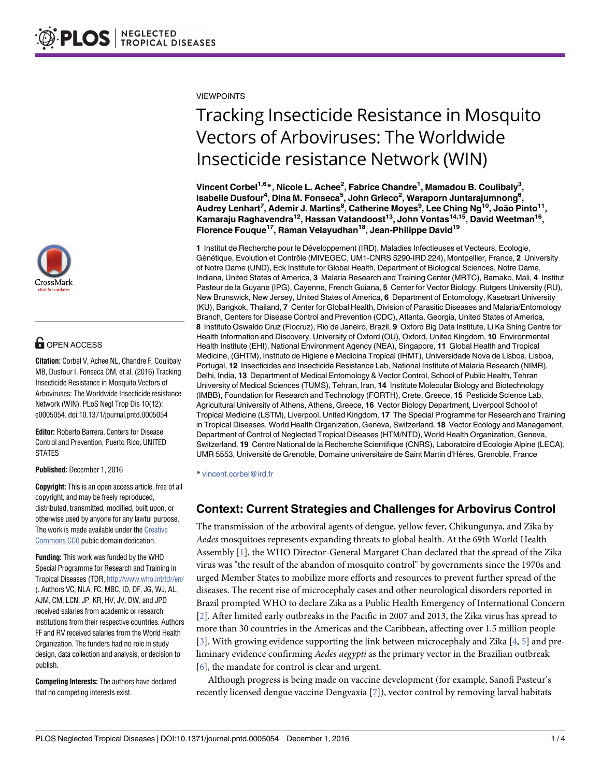

## **G** OPEN ACCESS

**Citation:** Corbel V, Achee NL, Chandre F, Coulibaly MB, Dusfour I, Fonseca DM, et al. (2016) Tracking Insecticide Resistance in Mosquito Vectors of Arboviruses: The Worldwide Insecticide resistance Network (WIN). PLoS Negl Trop Dis 10(12): e0005054. doi:10.1371/journal.pntd.0005054

**Editor:** Roberto Barrera, Centers for Disease Control and Prevention, Puerto Rico, UNITED **STATES** 

**Published:** December 1, 2016

**Copyright:** This is an open access article, free of all copyright, and may be freely reproduced, distributed, transmitted, modified, built upon, or otherwise used by anyone for any lawful purpose. The work is made available under the [Creative](https://creativecommons.org/publicdomain/zero/1.0/) [Commons](https://creativecommons.org/publicdomain/zero/1.0/) CC0 public domain dedication.

**Funding:** This work was funded by the WHO Special Programme for Research and Training in Tropical Diseases (TDR, <http://www.who.int/tdr/en/> ). Authors VC, NLA, FC, MBC, ID, DF, JG, WJ, AL, AJM, CM, LCN, JP, KR, HV, JV, DW, and JPD received salaries from academic or research institutions from their respective countries. Authors FF and RV received salaries from the World Health Organization. The funders had no role in study design, data collection and analysis, or decision to publish.

**Competing Interests:** The authors have declared that no competing interests exist.

<span id="page-0-0"></span>VIEWPOINTS

# Tracking Insecticide Resistance in Mosquito Vectors of Arboviruses: The Worldwide Insecticide resistance Network (WIN)

**Vincent Corbel1,6\*, Nicole L. Achee2 , Fabrice Chandre1 , Mamadou B. Coulibaly3 , Isabelle Dusfour4 , Dina M. Fonseca5 , John Grieco2 , Waraporn Juntarajumnong6 , Audrey Lenhart7 , Ademir J. Martins8 , Catherine Moyes9 , Lee Ching Ng10, João Pinto11, Kamaraju Raghavendra12, Hassan Vatandoost13, John Vontas14,15, David Weetman16, Florence Fouque17, Raman Velayudhan18, Jean-Philippe David19**

1 Institut de Recherche pour le Développement (IRD), Maladies Infectieuses et Vecteurs, Ecologie, Génétique, Evolution et Contrôle (MIVEGEC, UM1-CNRS 5290-IRD 224), Montpellier, France, 2 University of Notre Dame (UND), Eck Institute for Global Health, Department of Biological Sciences, Notre Dame, Indiana, United States of America, **3** Malaria Research and Training Center (MRTC), Bamako, Mali, **4** Institut Pasteur de la Guyane (IPG), Cayenne, French Guiana, **5** Center for Vector Biology, Rutgers University (RU), New Brunswick, New Jersey, United States of America, **6** Department of Entomology, Kasetsart University (KU), Bangkok, Thailand, **7** Center for Global Health, Division of Parasitic Diseases and Malaria/Entomology Branch, Centers for Disease Control and Prevention (CDC), Atlanta, Georgia, United States of America, **8** Instituto Oswaldo Cruz (Fiocruz), Rio de Janeiro, Brazil, **9** Oxford Big Data Institute, Li Ka Shing Centre for Health Information and Discovery, University of Oxford (OU), Oxford, United Kingdom, **10** Environmental Health Institute (EHI), National Environment Agency (NEA), Singapore, **11** Global Health and Tropical Medicine, (GHTM), Instituto de Higiene e Medicina Tropical (IHMT), Universidade Nova de Lisboa, Lisboa, Portugal, **12** Insecticides and Insecticide Resistance Lab, National Institute of Malaria Research (NIMR), Delhi, India, **13** Department of Medical Entomology & Vector Control, School of Public Health, Tehran University of Medical Sciences (TUMS), Tehran, Iran, **14** Institute Molecular Biology and Biotechnology (IMBB), Foundation for Research and Technology (FORTH), Crete, Greece, **15** Pesticide Science Lab, Agricultural University of Athens, Athens, Greece, **16** Vector Biology Department, Liverpool School of Tropical Medicine (LSTM), Liverpool, United Kingdom, **17** The Special Programme for Research and Training in Tropical Diseases, World Health Organization, Geneva, Switzerland, **18** Vector Ecology and Management, Department of Control of Neglected Tropical Diseases (HTM/NTD), World Health Organization, Geneva, Switzerland, **19** Centre National de la Recherche Scientifique (CNRS), Laboratoire d'Ecologie Alpine (LECA), UMR 5553, Université de Grenoble, Domaine universitaire de Saint Martin d'Hères, Grenoble, France

\* vincent.corbel@ird.fr

### **Context: Current Strategies and Challenges for Arbovirus Control**

The transmission of the arboviral agents of dengue, yellow fever, Chikungunya, and Zika by *Aedes* mosquitoes represents expanding threats to global health. At the 69th World Health Assembly [\[1\]](#page-2-0), the WHO Director-General Margaret Chan declared that the spread of the Zika virus was "the result of the abandon of mosquito control" by governments since the 1970s and urged Member States to mobilize more efforts and resources to prevent further spread of the diseases. The recent rise of microcephaly cases and other neurological disorders reported in Brazil prompted WHO to declare Zika as a Public Health Emergency of International Concern [\[2](#page-2-0)]. After limited early outbreaks in the Pacific in 2007 and 2013, the Zika virus has spread to more than 30 countries in the Americas and the Caribbean, affecting over 1.5 million people [\[3](#page-2-0)]. With growing evidence supporting the link between microcephaly and Zika [\[4,](#page-2-0) [5](#page-2-0)] and preliminary evidence confirming *Aedes aegypti* as the primary vector in the Brazilian outbreak [\[6](#page-2-0)], the mandate for control is clear and urgent.

Although progress is being made on vaccine development (for example, Sanofi Pasteur's recently licensed dengue vaccine Dengvaxia [[7](#page-2-0)]), vector control by removing larval habitats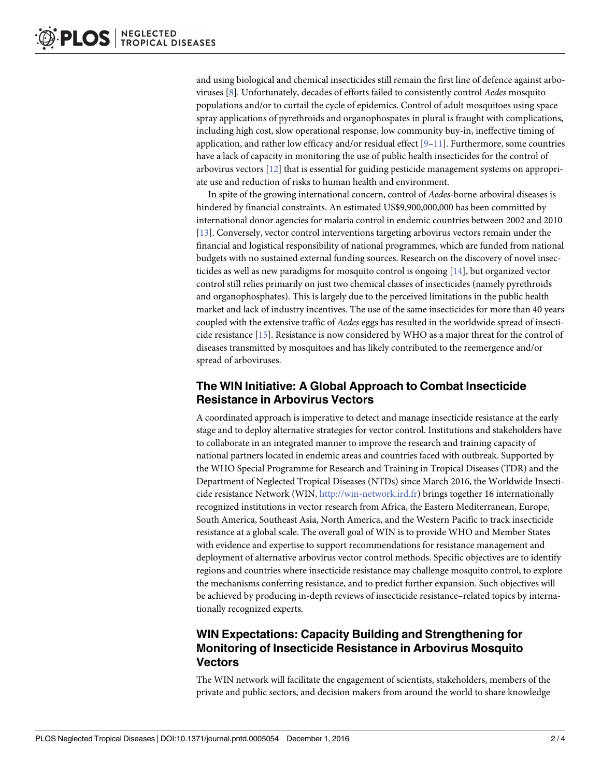<span id="page-1-0"></span>and using biological and chemical insecticides still remain the first line of defence against arboviruses [\[8](#page-2-0)]. Unfortunately, decades of efforts failed to consistently control *Aedes* mosquito populations and/or to curtail the cycle of epidemics. Control of adult mosquitoes using space spray applications of pyrethroids and organophospates in plural is fraught with complications, including high cost, slow operational response, low community buy-in, ineffective timing of application, and rather low efficacy and/or residual effect  $[9-11]$ . Furthermore, some countries have a lack of capacity in monitoring the use of public health insecticides for the control of arbovirus vectors [\[12\]](#page-2-0) that is essential for guiding pesticide management systems on appropriate use and reduction of risks to human health and environment.

In spite of the growing international concern, control of *Aedes*-borne arboviral diseases is hindered by financial constraints. An estimated US\$9,900,000,000 has been committed by international donor agencies for malaria control in endemic countries between 2002 and 2010 [\[13\]](#page-2-0). Conversely, vector control interventions targeting arbovirus vectors remain under the financial and logistical responsibility of national programmes, which are funded from national budgets with no sustained external funding sources. Research on the discovery of novel insecticides as well as new paradigms for mosquito control is ongoing [[14](#page-3-0)], but organized vector control still relies primarily on just two chemical classes of insecticides (namely pyrethroids and organophosphates). This is largely due to the perceived limitations in the public health market and lack of industry incentives. The use of the same insecticides for more than 40 years coupled with the extensive traffic of *Aedes* eggs has resulted in the worldwide spread of insecticide resistance [\[15\]](#page-3-0). Resistance is now considered by WHO as a major threat for the control of diseases transmitted by mosquitoes and has likely contributed to the reemergence and/or spread of arboviruses.

#### **The WIN Initiative: A Global Approach to Combat Insecticide Resistance in Arbovirus Vectors**

A coordinated approach is imperative to detect and manage insecticide resistance at the early stage and to deploy alternative strategies for vector control. Institutions and stakeholders have to collaborate in an integrated manner to improve the research and training capacity of national partners located in endemic areas and countries faced with outbreak. Supported by the WHO Special Programme for Research and Training in Tropical Diseases (TDR) and the Department of Neglected Tropical Diseases (NTDs) since March 2016, the Worldwide Insecticide resistance Network (WIN, <http://win-network.ird.fr>) brings together 16 internationally recognized institutions in vector research from Africa, the Eastern Mediterranean, Europe, South America, Southeast Asia, North America, and the Western Pacific to track insecticide resistance at a global scale. The overall goal of WIN is to provide WHO and Member States with evidence and expertise to support recommendations for resistance management and deployment of alternative arbovirus vector control methods. Specific objectives are to identify regions and countries where insecticide resistance may challenge mosquito control, to explore the mechanisms conferring resistance, and to predict further expansion. Such objectives will be achieved by producing in-depth reviews of insecticide resistance–related topics by internationally recognized experts.

#### **WIN Expectations: Capacity Building and Strengthening for Monitoring of Insecticide Resistance in Arbovirus Mosquito Vectors**

The WIN network will facilitate the engagement of scientists, stakeholders, members of the private and public sectors, and decision makers from around the world to share knowledge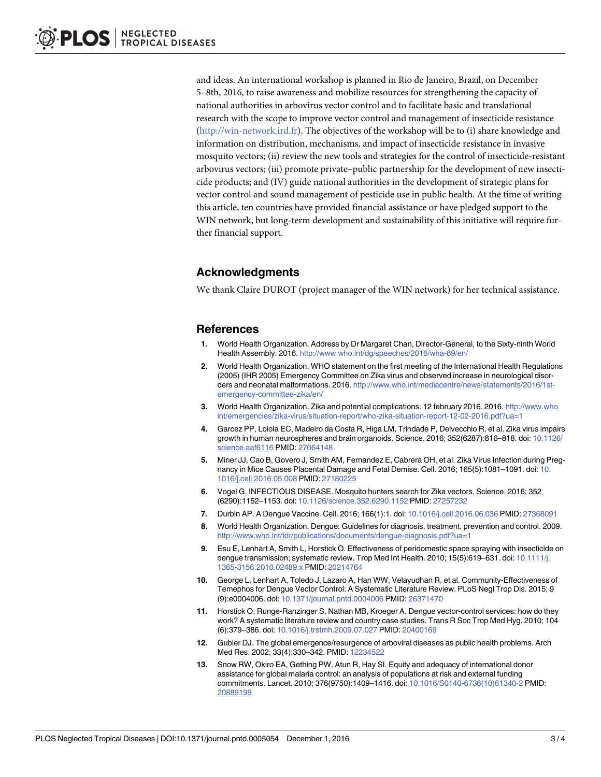<span id="page-2-0"></span>and ideas. An international workshop is planned in Rio de Janeiro, Brazil, on December 5–8th, 2016, to raise awareness and mobilize resources for strengthening the capacity of national authorities in arbovirus vector control and to facilitate basic and translational research with the scope to improve vector control and management of insecticide resistance [\(http://win-network.ird.fr](http://win-network.ird.fr)). The objectives of the workshop will be to (i) share knowledge and information on distribution, mechanisms, and impact of insecticide resistance in invasive mosquito vectors; (ii) review the new tools and strategies for the control of insecticide-resistant arbovirus vectors; (iii) promote private–public partnership for the development of new insecticide products; and (IV) guide national authorities in the development of strategic plans for vector control and sound management of pesticide use in public health. At the time of writing this article, ten countries have provided financial assistance or have pledged support to the WIN network, but long-term development and sustainability of this initiative will require further financial support.

#### **Acknowledgments**

We thank Claire DUROT (project manager of the WIN network) for her technical assistance.

#### **References**

- **[1](#page-0-0).** World Health Organization. Address by Dr Margaret Chan, Director-General, to the Sixty-ninth World Health Assembly. 2016. <http://www.who.int/dg/speeches/2016/wha-69/en/>
- **[2](#page-0-0).** World Health Organization. WHO statement on the first meeting of the International Health Regulations (2005) (IHR 2005) Emergency Committee on Zika virus and observed increase in neurological disorders and neonatal malformations. 2016. [http://www.who.int/mediacentre/news/statements/2016/1st](http://www.who.int/mediacentre/news/statements/2016/1st-emergency-committee-zika/en/)[emergency-committee-zika/en/](http://www.who.int/mediacentre/news/statements/2016/1st-emergency-committee-zika/en/)
- **[3](#page-0-0).** World Health Organization. Zika and potential complications. 12 february 2016. 2016. [http://www.who.](http://www.who.int/emergencies/zika-virus/situation-report/who-zika-situation-report-12-02-2016.pdf?ua=1) [int/emergencies/zika-virus/situation-report/who-zika-situation-report-12-02-2016.pdf?ua=1](http://www.who.int/emergencies/zika-virus/situation-report/who-zika-situation-report-12-02-2016.pdf?ua=1)
- **[4](#page-0-0).** Garcez PP, Loiola EC, Madeiro da Costa R, Higa LM, Trindade P, Delvecchio R, et al. Zika virus impairs growth in human neurospheres and brain organoids. Science. 2016; 352(6287):816–818. doi: [10.1126/](http://dx.doi.org/10.1126/science.aaf6116) [science.aaf6116](http://dx.doi.org/10.1126/science.aaf6116) PMID: [27064148](http://www.ncbi.nlm.nih.gov/pubmed/27064148)
- **[5](#page-0-0).** Miner JJ, Cao B, Govero J, Smith AM, Fernandez E, Cabrera OH, et al. Zika Virus Infection during Pregnancy in Mice Causes Placental Damage and Fetal Demise. Cell. 2016; 165(5):1081–1091. doi: [10.](http://dx.doi.org/10.1016/j.cell.2016.05.008) [1016/j.cell.2016.05.008](http://dx.doi.org/10.1016/j.cell.2016.05.008) PMID: [27180225](http://www.ncbi.nlm.nih.gov/pubmed/27180225)
- **[6](#page-0-0).** Vogel G. INFECTIOUS DISEASE. Mosquito hunters search for Zika vectors. Science. 2016; 352 (6290):1152–1153. doi: [10.1126/science.352.6290.1152](http://dx.doi.org/10.1126/science.352.6290.1152) PMID: [27257232](http://www.ncbi.nlm.nih.gov/pubmed/27257232)
- **[7](#page-0-0).** Durbin AP. A Dengue Vaccine. Cell. 2016; 166(1):1. doi: [10.1016/j.cell.2016.06.036](http://dx.doi.org/10.1016/j.cell.2016.06.036) PMID: [27368091](http://www.ncbi.nlm.nih.gov/pubmed/27368091)
- **[8](#page-1-0).** World Health Organization. Dengue: Guidelines for diagnosis, treatment, prevention and control. 2009. <http://www.who.int/tdr/publications/documents/dengue-diagnosis.pdf?ua=1>
- **[9](#page-1-0).** Esu E, Lenhart A, Smith L, Horstick O. Effectiveness of peridomestic space spraying with insecticide on dengue transmission; systematic review. Trop Med Int Health. 2010; 15(5):619-631. doi: [10.1111/j.](http://dx.doi.org/10.1111/j.1365-3156.2010.02489.x) [1365-3156.2010.02489.x](http://dx.doi.org/10.1111/j.1365-3156.2010.02489.x) PMID: [20214764](http://www.ncbi.nlm.nih.gov/pubmed/20214764)
- **10.** George L, Lenhart A, Toledo J, Lazaro A, Han WW, Velayudhan R, et al. Community-Effectiveness of Temephos for Dengue Vector Control: A Systematic Literature Review. PLoS Negl Trop Dis. 2015; 9 (9):e0004006. doi: [10.1371/journal.pntd.0004006](http://dx.doi.org/10.1371/journal.pntd.0004006) PMID: [26371470](http://www.ncbi.nlm.nih.gov/pubmed/26371470)
- **[11](#page-1-0).** Horstick O, Runge-Ranzinger S, Nathan MB, Kroeger A. Dengue vector-control services: how do they work? A systematic literature review and country case studies. Trans R Soc Trop Med Hyg. 2010; 104 (6):379–386. doi: [10.1016/j.trstmh.2009.07.027](http://dx.doi.org/10.1016/j.trstmh.2009.07.027) PMID: [20400169](http://www.ncbi.nlm.nih.gov/pubmed/20400169)
- **[12](#page-1-0).** Gubler DJ. The global emergence/resurgence of arboviral diseases as public health problems. Arch Med Res. 2002; 33(4):330–342. PMID: [12234522](http://www.ncbi.nlm.nih.gov/pubmed/12234522)
- **[13](#page-1-0).** Snow RW, Okiro EA, Gething PW, Atun R, Hay SI. Equity and adequacy of international donor assistance for global malaria control: an analysis of populations at risk and external funding commitments. Lancet. 2010; 376(9750):1409–1416. doi: [10.1016/S0140-6736\(10\)61340-2](http://dx.doi.org/10.1016/S0140-6736(10)61340-2) PMID: [20889199](http://www.ncbi.nlm.nih.gov/pubmed/20889199)